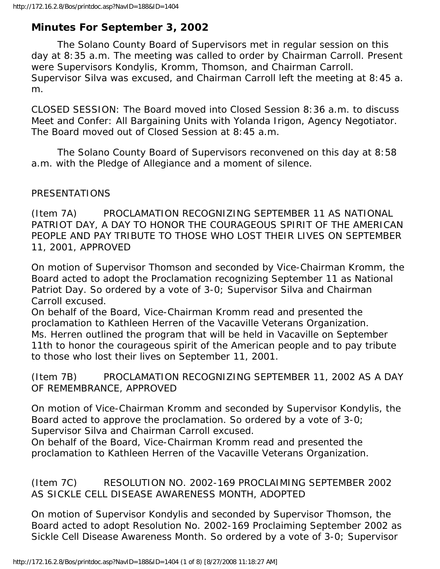# **Minutes For September 3, 2002**

 The Solano County Board of Supervisors met in regular session on this day at 8:35 a.m. The meeting was called to order by Chairman Carroll. Present were Supervisors Kondylis, Kromm, Thomson, and Chairman Carroll. Supervisor Silva was excused, and Chairman Carroll left the meeting at 8:45 a. m.

CLOSED SESSION: The Board moved into Closed Session 8:36 a.m. to discuss Meet and Confer: All Bargaining Units with Yolanda Irigon, Agency Negotiator. The Board moved out of Closed Session at 8:45 a.m.

 The Solano County Board of Supervisors reconvened on this day at 8:58 a.m. with the Pledge of Allegiance and a moment of silence.

## PRESENTATIONS

(Item 7A) PROCLAMATION RECOGNIZING SEPTEMBER 11 AS NATIONAL PATRIOT DAY, A DAY TO HONOR THE COURAGEOUS SPIRIT OF THE AMERICAN PEOPLE AND PAY TRIBUTE TO THOSE WHO LOST THEIR LIVES ON SEPTEMBER 11, 2001, APPROVED

On motion of Supervisor Thomson and seconded by Vice-Chairman Kromm, the Board acted to adopt the Proclamation recognizing September 11 as National Patriot Day. So ordered by a vote of 3-0; Supervisor Silva and Chairman Carroll excused.

On behalf of the Board, Vice-Chairman Kromm read and presented the proclamation to Kathleen Herren of the Vacaville Veterans Organization. Ms. Herren outlined the program that will be held in Vacaville on September 11th to honor the courageous spirit of the American people and to pay tribute to those who lost their lives on September 11, 2001.

(Item 7B) PROCLAMATION RECOGNIZING SEPTEMBER 11, 2002 AS A DAY OF REMEMBRANCE, APPROVED

On motion of Vice-Chairman Kromm and seconded by Supervisor Kondylis, the Board acted to approve the proclamation. So ordered by a vote of 3-0; Supervisor Silva and Chairman Carroll excused.

On behalf of the Board, Vice-Chairman Kromm read and presented the proclamation to Kathleen Herren of the Vacaville Veterans Organization.

(Item 7C) RESOLUTION NO. 2002-169 PROCLAIMING SEPTEMBER 2002 AS SICKLE CELL DISEASE AWARENESS MONTH, ADOPTED

On motion of Supervisor Kondylis and seconded by Supervisor Thomson, the Board acted to adopt Resolution No. 2002-169 Proclaiming September 2002 as Sickle Cell Disease Awareness Month. So ordered by a vote of 3-0; Supervisor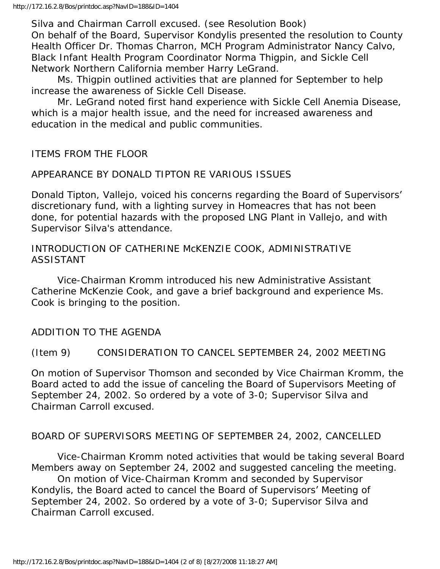Silva and Chairman Carroll excused. (see Resolution Book) On behalf of the Board, Supervisor Kondylis presented the resolution to County Health Officer Dr. Thomas Charron, MCH Program Administrator Nancy Calvo, Black Infant Health Program Coordinator Norma Thigpin, and Sickle Cell Network Northern California member Harry LeGrand.

 Ms. Thigpin outlined activities that are planned for September to help increase the awareness of Sickle Cell Disease.

 Mr. LeGrand noted first hand experience with Sickle Cell Anemia Disease, which is a major health issue, and the need for increased awareness and education in the medical and public communities.

ITEMS FROM THE FLOOR

## APPEARANCE BY DONALD TIPTON RE VARIOUS ISSUES

Donald Tipton, Vallejo, voiced his concerns regarding the Board of Supervisors' discretionary fund, with a lighting survey in Homeacres that has not been done, for potential hazards with the proposed LNG Plant in Vallejo, and with Supervisor Silva's attendance.

INTRODUCTION OF CATHERINE McKENZIE COOK, ADMINISTRATIVE ASSISTANT

 Vice-Chairman Kromm introduced his new Administrative Assistant Catherine McKenzie Cook, and gave a brief background and experience Ms. Cook is bringing to the position.

ADDITION TO THE AGENDA

(Item 9) CONSIDERATION TO CANCEL SEPTEMBER 24, 2002 MEETING

On motion of Supervisor Thomson and seconded by Vice Chairman Kromm, the Board acted to add the issue of canceling the Board of Supervisors Meeting of September 24, 2002. So ordered by a vote of 3-0; Supervisor Silva and Chairman Carroll excused.

## BOARD OF SUPERVISORS MEETING OF SEPTEMBER 24, 2002, CANCELLED

 Vice-Chairman Kromm noted activities that would be taking several Board Members away on September 24, 2002 and suggested canceling the meeting.

 On motion of Vice-Chairman Kromm and seconded by Supervisor Kondylis, the Board acted to cancel the Board of Supervisors' Meeting of September 24, 2002. So ordered by a vote of 3-0; Supervisor Silva and Chairman Carroll excused.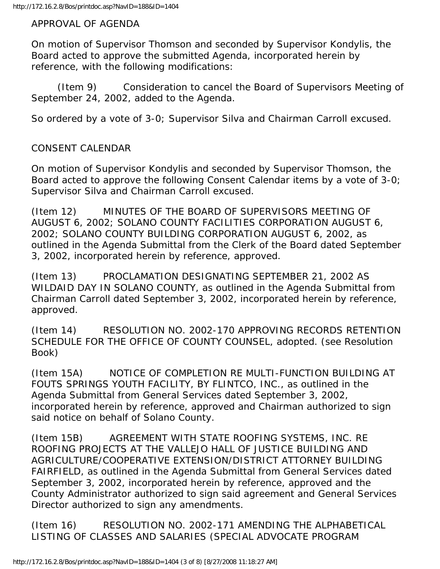APPROVAL OF AGENDA

On motion of Supervisor Thomson and seconded by Supervisor Kondylis, the Board acted to approve the submitted Agenda, incorporated herein by reference, with the following modifications:

 (Item 9) Consideration to cancel the Board of Supervisors Meeting of September 24, 2002, added to the Agenda.

So ordered by a vote of 3-0; Supervisor Silva and Chairman Carroll excused.

## CONSENT CALENDAR

On motion of Supervisor Kondylis and seconded by Supervisor Thomson, the Board acted to approve the following Consent Calendar items by a vote of 3-0; Supervisor Silva and Chairman Carroll excused.

(Item 12) MINUTES OF THE BOARD OF SUPERVISORS MEETING OF AUGUST 6, 2002; SOLANO COUNTY FACILITIES CORPORATION AUGUST 6, 2002; SOLANO COUNTY BUILDING CORPORATION AUGUST 6, 2002, as outlined in the Agenda Submittal from the Clerk of the Board dated September 3, 2002, incorporated herein by reference, approved.

(Item 13) PROCLAMATION DESIGNATING SEPTEMBER 21, 2002 AS WILDAID DAY IN SOLANO COUNTY, as outlined in the Agenda Submittal from Chairman Carroll dated September 3, 2002, incorporated herein by reference, approved.

(Item 14) RESOLUTION NO. 2002-170 APPROVING RECORDS RETENTION SCHEDULE FOR THE OFFICE OF COUNTY COUNSEL, adopted. (see Resolution Book)

(Item 15A) NOTICE OF COMPLETION RE MULTI-FUNCTION BUILDING AT FOUTS SPRINGS YOUTH FACILITY, BY FLINTCO, INC., as outlined in the Agenda Submittal from General Services dated September 3, 2002, incorporated herein by reference, approved and Chairman authorized to sign said notice on behalf of Solano County.

(Item 15B) AGREEMENT WITH STATE ROOFING SYSTEMS, INC. RE ROOFING PROJECTS AT THE VALLEJO HALL OF JUSTICE BUILDING AND AGRICULTURE/COOPERATIVE EXTENSION/DISTRICT ATTORNEY BUILDING FAIRFIELD, as outlined in the Agenda Submittal from General Services dated September 3, 2002, incorporated herein by reference, approved and the County Administrator authorized to sign said agreement and General Services Director authorized to sign any amendments.

(Item 16) RESOLUTION NO. 2002-171 AMENDING THE ALPHABETICAL LISTING OF CLASSES AND SALARIES (SPECIAL ADVOCATE PROGRAM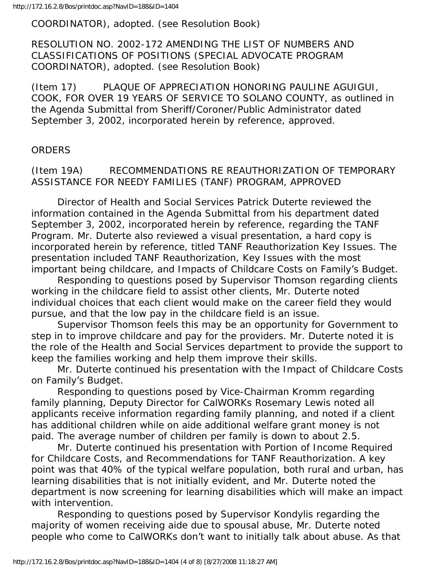COORDINATOR), adopted. (see Resolution Book)

RESOLUTION NO. 2002-172 AMENDING THE LIST OF NUMBERS AND CLASSIFICATIONS OF POSITIONS (SPECIAL ADVOCATE PROGRAM COORDINATOR), adopted. (see Resolution Book)

(Item 17) PLAQUE OF APPRECIATION HONORING PAULINE AGUIGUI, COOK, FOR OVER 19 YEARS OF SERVICE TO SOLANO COUNTY, as outlined in the Agenda Submittal from Sheriff/Coroner/Public Administrator dated September 3, 2002, incorporated herein by reference, approved.

## ORDERS

## (Item 19A) RECOMMENDATIONS RE REAUTHORIZATION OF TEMPORARY ASSISTANCE FOR NEEDY FAMILIES (TANF) PROGRAM, APPROVED

 Director of Health and Social Services Patrick Duterte reviewed the information contained in the Agenda Submittal from his department dated September 3, 2002, incorporated herein by reference, regarding the TANF Program. Mr. Duterte also reviewed a visual presentation, a hard copy is incorporated herein by reference, titled TANF Reauthorization Key Issues. The presentation included TANF Reauthorization, Key Issues with the most important being childcare, and Impacts of Childcare Costs on Family's Budget.

 Responding to questions posed by Supervisor Thomson regarding clients working in the childcare field to assist other clients, Mr. Duterte noted individual choices that each client would make on the career field they would pursue, and that the low pay in the childcare field is an issue.

 Supervisor Thomson feels this may be an opportunity for Government to step in to improve childcare and pay for the providers. Mr. Duterte noted it is the role of the Health and Social Services department to provide the support to keep the families working and help them improve their skills.

 Mr. Duterte continued his presentation with the Impact of Childcare Costs on Family's Budget.

 Responding to questions posed by Vice-Chairman Kromm regarding family planning, Deputy Director for CalWORKs Rosemary Lewis noted all applicants receive information regarding family planning, and noted if a client has additional children while on aide additional welfare grant money is not paid. The average number of children per family is down to about 2.5.

 Mr. Duterte continued his presentation with Portion of Income Required for Childcare Costs, and Recommendations for TANF Reauthorization. A key point was that 40% of the typical welfare population, both rural and urban, has learning disabilities that is not initially evident, and Mr. Duterte noted the department is now screening for learning disabilities which will make an impact with intervention.

 Responding to questions posed by Supervisor Kondylis regarding the majority of women receiving aide due to spousal abuse, Mr. Duterte noted people who come to CalWORKs don't want to initially talk about abuse. As that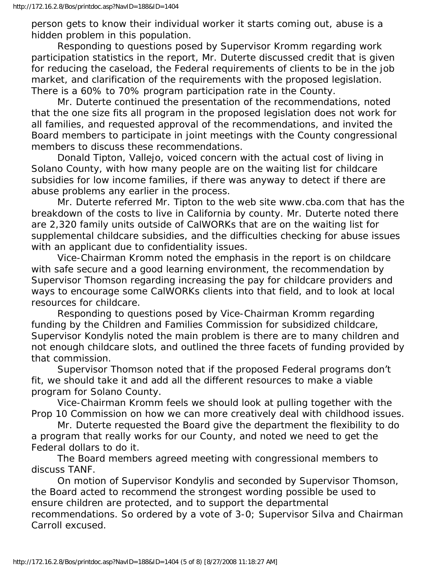person gets to know their individual worker it starts coming out, abuse is a hidden problem in this population.

 Responding to questions posed by Supervisor Kromm regarding work participation statistics in the report, Mr. Duterte discussed credit that is given for reducing the caseload, the Federal requirements of clients to be in the job market, and clarification of the requirements with the proposed legislation. There is a 60% to 70% program participation rate in the County.

 Mr. Duterte continued the presentation of the recommendations, noted that the one size fits all program in the proposed legislation does not work for all families, and requested approval of the recommendations, and invited the Board members to participate in joint meetings with the County congressional members to discuss these recommendations.

 Donald Tipton, Vallejo, voiced concern with the actual cost of living in Solano County, with how many people are on the waiting list for childcare subsidies for low income families, if there was anyway to detect if there are abuse problems any earlier in the process.

 Mr. Duterte referred Mr. Tipton to the web site www.cba.com that has the breakdown of the costs to live in California by county. Mr. Duterte noted there are 2,320 family units outside of CalWORKs that are on the waiting list for supplemental childcare subsidies, and the difficulties checking for abuse issues with an applicant due to confidentiality issues.

 Vice-Chairman Kromm noted the emphasis in the report is on childcare with safe secure and a good learning environment, the recommendation by Supervisor Thomson regarding increasing the pay for childcare providers and ways to encourage some CalWORKs clients into that field, and to look at local resources for childcare.

 Responding to questions posed by Vice-Chairman Kromm regarding funding by the Children and Families Commission for subsidized childcare, Supervisor Kondylis noted the main problem is there are to many children and not enough childcare slots, and outlined the three facets of funding provided by that commission.

 Supervisor Thomson noted that if the proposed Federal programs don't fit, we should take it and add all the different resources to make a viable program for Solano County.

 Vice-Chairman Kromm feels we should look at pulling together with the Prop 10 Commission on how we can more creatively deal with childhood issues.

 Mr. Duterte requested the Board give the department the flexibility to do a program that really works for our County, and noted we need to get the Federal dollars to do it.

 The Board members agreed meeting with congressional members to discuss TANF.

 On motion of Supervisor Kondylis and seconded by Supervisor Thomson, the Board acted to recommend the strongest wording possible be used to ensure children are protected, and to support the departmental recommendations. So ordered by a vote of 3-0; Supervisor Silva and Chairman Carroll excused.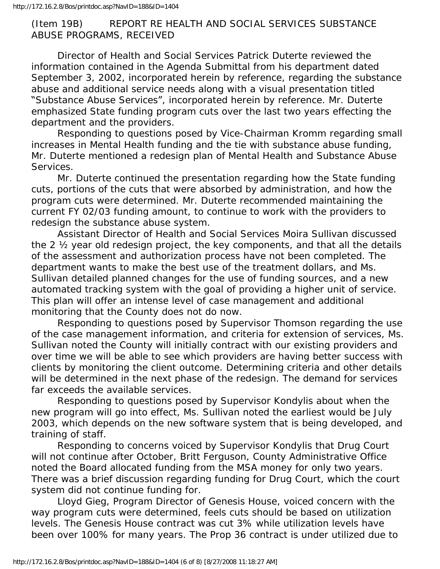## (Item 19B) REPORT RE HEALTH AND SOCIAL SERVICES SUBSTANCE ABUSE PROGRAMS, RECEIVED

 Director of Health and Social Services Patrick Duterte reviewed the information contained in the Agenda Submittal from his department dated September 3, 2002, incorporated herein by reference, regarding the substance abuse and additional service needs along with a visual presentation titled "Substance Abuse Services", incorporated herein by reference. Mr. Duterte emphasized State funding program cuts over the last two years effecting the department and the providers.

 Responding to questions posed by Vice-Chairman Kromm regarding small increases in Mental Health funding and the tie with substance abuse funding, Mr. Duterte mentioned a redesign plan of Mental Health and Substance Abuse Services.

 Mr. Duterte continued the presentation regarding how the State funding cuts, portions of the cuts that were absorbed by administration, and how the program cuts were determined. Mr. Duterte recommended maintaining the current FY 02/03 funding amount, to continue to work with the providers to redesign the substance abuse system.

 Assistant Director of Health and Social Services Moira Sullivan discussed the 2 ½ year old redesign project, the key components, and that all the details of the assessment and authorization process have not been completed. The department wants to make the best use of the treatment dollars, and Ms. Sullivan detailed planned changes for the use of funding sources, and a new automated tracking system with the goal of providing a higher unit of service. This plan will offer an intense level of case management and additional monitoring that the County does not do now.

 Responding to questions posed by Supervisor Thomson regarding the use of the case management information, and criteria for extension of services, Ms. Sullivan noted the County will initially contract with our existing providers and over time we will be able to see which providers are having better success with clients by monitoring the client outcome. Determining criteria and other details will be determined in the next phase of the redesign. The demand for services far exceeds the available services.

 Responding to questions posed by Supervisor Kondylis about when the new program will go into effect, Ms. Sullivan noted the earliest would be July 2003, which depends on the new software system that is being developed, and training of staff.

 Responding to concerns voiced by Supervisor Kondylis that Drug Court will not continue after October, Britt Ferguson, County Administrative Office noted the Board allocated funding from the MSA money for only two years. There was a brief discussion regarding funding for Drug Court, which the court system did not continue funding for.

 Lloyd Gieg, Program Director of Genesis House, voiced concern with the way program cuts were determined, feels cuts should be based on utilization levels. The Genesis House contract was cut 3% while utilization levels have been over 100% for many years. The Prop 36 contract is under utilized due to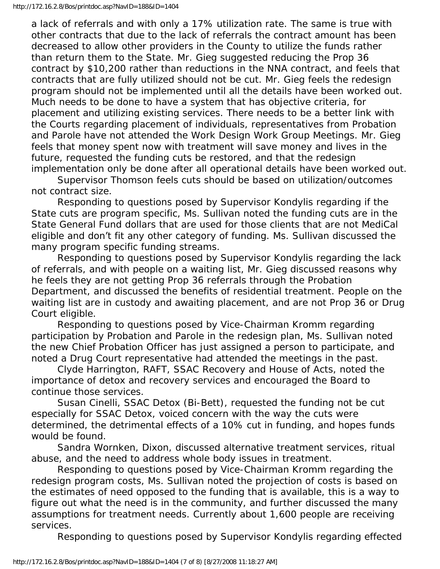a lack of referrals and with only a 17% utilization rate. The same is true with other contracts that due to the lack of referrals the contract amount has been decreased to allow other providers in the County to utilize the funds rather than return them to the State. Mr. Gieg suggested reducing the Prop 36 contract by \$10,200 rather than reductions in the NNA contract, and feels that contracts that are fully utilized should not be cut. Mr. Gieg feels the redesign program should not be implemented until all the details have been worked out. Much needs to be done to have a system that has objective criteria, for placement and utilizing existing services. There needs to be a better link with the Courts regarding placement of individuals, representatives from Probation and Parole have not attended the Work Design Work Group Meetings. Mr. Gieg feels that money spent now with treatment will save money and lives in the future, requested the funding cuts be restored, and that the redesign implementation only be done after all operational details have been worked out.

 Supervisor Thomson feels cuts should be based on utilization/outcomes not contract size.

 Responding to questions posed by Supervisor Kondylis regarding if the State cuts are program specific, Ms. Sullivan noted the funding cuts are in the State General Fund dollars that are used for those clients that are not MediCal eligible and don't fit any other category of funding. Ms. Sullivan discussed the many program specific funding streams.

 Responding to questions posed by Supervisor Kondylis regarding the lack of referrals, and with people on a waiting list, Mr. Gieg discussed reasons why he feels they are not getting Prop 36 referrals through the Probation Department, and discussed the benefits of residential treatment. People on the waiting list are in custody and awaiting placement, and are not Prop 36 or Drug Court eligible.

 Responding to questions posed by Vice-Chairman Kromm regarding participation by Probation and Parole in the redesign plan, Ms. Sullivan noted the new Chief Probation Officer has just assigned a person to participate, and noted a Drug Court representative had attended the meetings in the past.

 Clyde Harrington, RAFT, SSAC Recovery and House of Acts, noted the importance of detox and recovery services and encouraged the Board to continue those services.

 Susan Cinelli, SSAC Detox (Bi-Bett), requested the funding not be cut especially for SSAC Detox, voiced concern with the way the cuts were determined, the detrimental effects of a 10% cut in funding, and hopes funds would be found.

 Sandra Wornken, Dixon, discussed alternative treatment services, ritual abuse, and the need to address whole body issues in treatment.

 Responding to questions posed by Vice-Chairman Kromm regarding the redesign program costs, Ms. Sullivan noted the projection of costs is based on the estimates of need opposed to the funding that is available, this is a way to figure out what the need is in the community, and further discussed the many assumptions for treatment needs. Currently about 1,600 people are receiving services.

Responding to questions posed by Supervisor Kondylis regarding effected